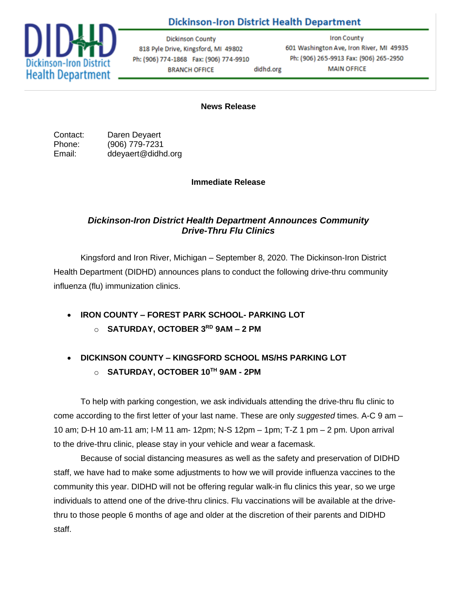

## **Dickinson-Iron District Health Department**

**Dickinson County** 818 Pyle Drive, Kingsford, MI 49802 Ph: (906) 774-1868 Fax: (906) 774-9910 **BRANCH OFFICE** didhd.org

**Iron County** 601 Washington Ave, Iron River, MI 49935 Ph: (906) 265-9913 Fax: (906) 265-2950 **MAIN OFFICE** 

**News Release**

Contact: Daren Deyaert Phone: (906) 779-7231 Email: ddeyaert@didhd.org

**Immediate Release**

## *Dickinson-Iron District Health Department Announces Community Drive-Thru Flu Clinics*

Kingsford and Iron River, Michigan – September 8, 2020. The Dickinson-Iron District Health Department (DIDHD) announces plans to conduct the following drive-thru community influenza (flu) immunization clinics.

• **IRON COUNTY – FOREST PARK SCHOOL- PARKING LOT**

o **SATURDAY, OCTOBER 3RD 9AM – 2 PM**

## • **DICKINSON COUNTY – KINGSFORD SCHOOL MS/HS PARKING LOT** o **SATURDAY, OCTOBER 10TH 9AM - 2PM**

To help with parking congestion, we ask individuals attending the drive-thru flu clinic to come according to the first letter of your last name. These are only *suggested* times. A-C 9 am – 10 am; D-H 10 am-11 am; I-M 11 am- 12pm; N-S 12pm – 1pm; T-Z 1 pm – 2 pm. Upon arrival to the drive-thru clinic, please stay in your vehicle and wear a facemask.

Because of social distancing measures as well as the safety and preservation of DIDHD staff, we have had to make some adjustments to how we will provide influenza vaccines to the community this year. DIDHD will not be offering regular walk-in flu clinics this year, so we urge individuals to attend one of the drive-thru clinics. Flu vaccinations will be available at the drivethru to those people 6 months of age and older at the discretion of their parents and DIDHD staff.